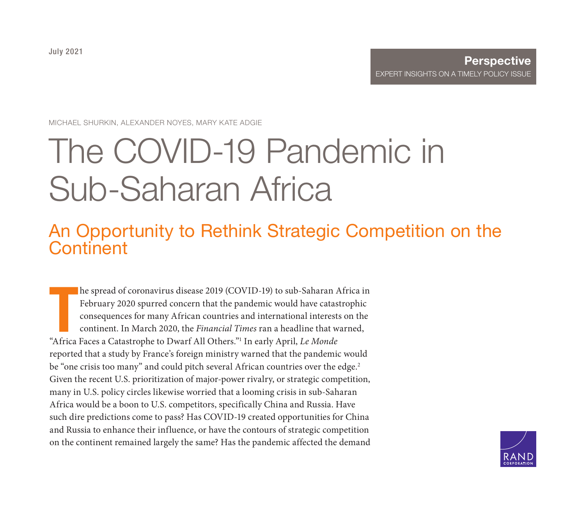[July 2021](https://www.rand.org/pubs/perspectives/PEA1055-1.html)

## **Perspective** EXPERT INSIGHTS ON A TIMELY POLICY ISSUE

MICHAEL SHURKIN, ALEXANDER NOYES, MARY KATE ADGIE

# The COVID-19 Pandemic in Sub-Saharan Africa

## An Opportunity to Rethink Strategic Competition on th[e](https://www.rand.org)  **Continent**

T he spread of coronavirus disease 2019 (COVID-19) to sub-Saharan Africa in February 2020 spurred concern that the pandemic would have catastrophic consequences for many African countries and international interests on the continent. In March 2020, the *Financial Times* ran a headline that warned, "Africa Faces a Catastrophe to Dwarf All Others."1 In early April, *Le Monde* reported that a study by France's foreign ministry warned that the pandemic would be "one crisis too many" and could pitch several African countries over the edge.<sup>2</sup> Given the recent U.S. prioritization of major-power rivalry, or strategic competition, many in U.S. policy circles likewise worried that a looming crisis in sub-Saharan Africa would be a boon to U.S. competitors, specifically China and Russia. Have such dire predictions come to pass? Has COVID-19 created opportunities for China and Russia to enhance their influence, or have the contours of strategic competition on the continent remained largely the same? Has the pandemic affected the demand

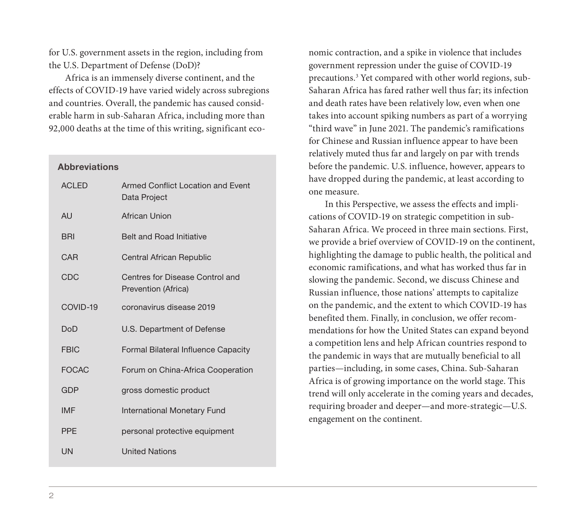for U.S. government assets in the region, including from the U.S. Department of Defense (DoD)?

Africa is an immensely diverse continent, and the effects of COVID-19 have varied widely across subregions and countries. Overall, the pandemic has caused considerable harm in sub-Saharan Africa, including more than 92,000 deaths at the time of this writing, significant eco-

#### **Abbreviations**

| <b>ACLED</b> | Armed Conflict Location and Event<br>Data Project      |
|--------------|--------------------------------------------------------|
| AU           | <b>African Union</b>                                   |
| <b>BRI</b>   | <b>Belt and Road Initiative</b>                        |
| CAR          | Central African Republic                               |
| CDC          | Centres for Disease Control and<br>Prevention (Africa) |
| COVID-19     | coronavirus disease 2019                               |
| <b>DoD</b>   | U.S. Department of Defense                             |
|              |                                                        |
| <b>FBIC</b>  | <b>Formal Bilateral Influence Capacity</b>             |
| <b>FOCAC</b> | Forum on China-Africa Cooperation                      |
| GDP          | gross domestic product                                 |
| <b>IMF</b>   | International Monetary Fund                            |
| <b>PPE</b>   | personal protective equipment                          |

nomic contraction, and a spike in violence that includes government repression under the guise of COVID-19 precautions.3 Yet compared with other world regions, sub-Saharan Africa has fared rather well thus far; its infection and death rates have been relatively low, even when one takes into account spiking numbers as part of a worrying "third wave" in June 2021. The pandemic's ramifications for Chinese and Russian influence appear to have been relatively muted thus far and largely on par with trends before the pandemic. U.S. influence, however, appears to have dropped during the pandemic, at least according to one measure.

In this Perspective, we assess the effects and implications of COVID-19 on strategic competition in sub-Saharan Africa. We proceed in three main sections. First, we provide a brief overview of COVID-19 on the continent, highlighting the damage to public health, the political and economic ramifications, and what has worked thus far in slowing the pandemic. Second, we discuss Chinese and Russian influence, those nations' attempts to capitalize on the pandemic, and the extent to which COVID-19 has benefited them. Finally, in conclusion, we offer recommendations for how the United States can expand beyond a competition lens and help African countries respond to the pandemic in ways that are mutually beneficial to all parties—including, in some cases, China. Sub-Saharan Africa is of growing importance on the world stage. This trend will only accelerate in the coming years and decades, requiring broader and deeper—and more-strategic—U.S. engagement on the continent.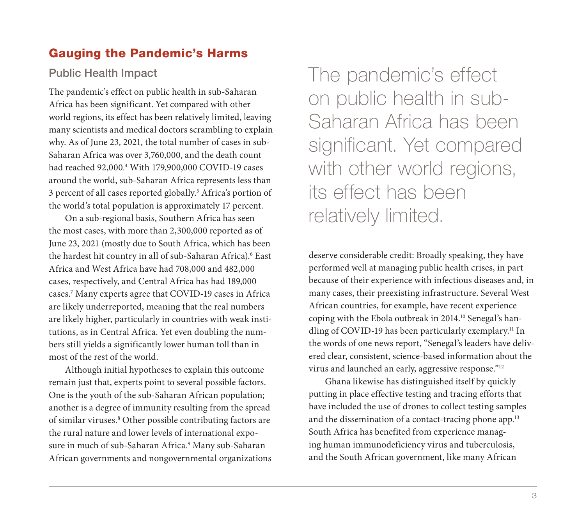## Gauging the Pandemic's Harms

### Public Health Impact

The pandemic's effect on public health in sub-Saharan Africa has been significant. Yet compared with other world regions, its effect has been relatively limited, leaving many scientists and medical doctors scrambling to explain why. As of June 23, 2021, the total number of cases in sub-Saharan Africa was over 3,760,000, and the death count had reached 92,000.4 With 179,900,000 COVID-19 cases around the world, sub-Saharan Africa represents less than 3 percent of all cases reported globally.<sup>5</sup> Africa's portion of the world's total population is approximately 17 percent.

On a sub-regional basis, Southern Africa has seen the most cases, with more than 2,300,000 reported as of June 23, 2021 (mostly due to South Africa, which has been the hardest hit country in all of sub-Saharan Africa).<sup>6</sup> East Africa and West Africa have had 708,000 and 482,000 cases, respectively, and Central Africa has had 189,000 cases.7 Many experts agree that COVID-19 cases in Africa are likely underreported, meaning that the real numbers are likely higher, particularly in countries with weak institutions, as in Central Africa. Yet even doubling the numbers still yields a significantly lower human toll than in most of the rest of the world.

Although initial hypotheses to explain this outcome remain just that, experts point to several possible factors. One is the youth of the sub-Saharan African population; another is a degree of immunity resulting from the spread of similar viruses.<sup>8</sup> Other possible contributing factors are the rural nature and lower levels of international exposure in much of sub-Saharan Africa.9 Many sub-Saharan African governments and nongovernmental organizations The pandemic's effect on public health in sub-Saharan Africa has been significant. Yet compared with other world regions, its effect has been relatively limited.

deserve considerable credit: Broadly speaking, they have performed well at managing public health crises, in part because of their experience with infectious diseases and, in many cases, their preexisting infrastructure. Several West African countries, for example, have recent experience coping with the Ebola outbreak in 2014.10 Senegal's handling of COVID-19 has been particularly exemplary.<sup>11</sup> In the words of one news report, "Senegal's leaders have delivered clear, consistent, science-based information about the virus and launched an early, aggressive response."12

Ghana likewise has distinguished itself by quickly putting in place effective testing and tracing efforts that have included the use of drones to collect testing samples and the dissemination of a contact-tracing phone app.13 South Africa has benefited from experience managing human immunodeficiency virus and tuberculosis, and the South African government, like many African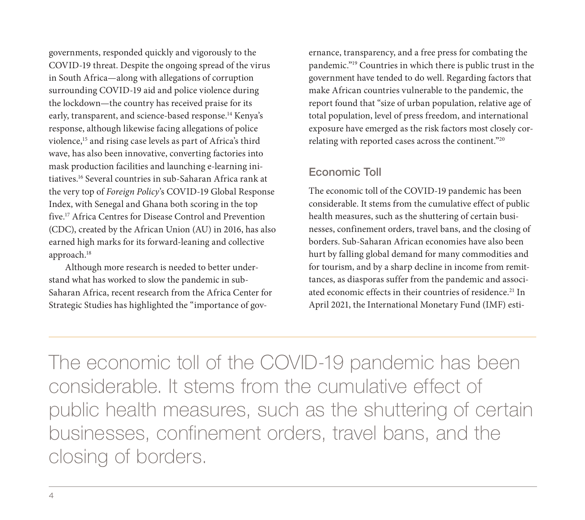governments, responded quickly and vigorously to the COVID-19 threat. Despite the ongoing spread of the virus in South Africa—along with allegations of corruption surrounding COVID-19 aid and police violence during the lockdown—the country has received praise for its early, transparent, and science-based response.<sup>14</sup> Kenya's response, although likewise facing allegations of police violence,<sup>15</sup> and rising case levels as part of Africa's third wave, has also been innovative, converting factories into mask production facilities and launching e-learning initiatives.16 Several countries in sub-Saharan Africa rank at the very top of *Foreign Policy*'s COVID-19 Global Response Index, with Senegal and Ghana both scoring in the top five.17 Africa Centres for Disease Control and Prevention (CDC), created by the African Union (AU) in 2016, has also earned high marks for its forward-leaning and collective approach.18

Although more research is needed to better understand what has worked to slow the pandemic in sub-Saharan Africa, recent research from the Africa Center for Strategic Studies has highlighted the "importance of gov-

ernance, transparency, and a free press for combating the pandemic."19 Countries in which there is public trust in the government have tended to do well. Regarding factors that make African countries vulnerable to the pandemic, the report found that "size of urban population, relative age of total population, level of press freedom, and international exposure have emerged as the risk factors most closely correlating with reported cases across the continent."20

## Economic Toll

The economic toll of the COVID-19 pandemic has been considerable. It stems from the cumulative effect of public health measures, such as the shuttering of certain businesses, confinement orders, travel bans, and the closing of borders. Sub-Saharan African economies have also been hurt by falling global demand for many commodities and for tourism, and by a sharp decline in income from remittances, as diasporas suffer from the pandemic and associated economic effects in their countries of residence.<sup>21</sup> In April 2021, the International Monetary Fund (IMF) esti-

The economic toll of the COVID-19 pandemic has been considerable. It stems from the cumulative effect of public health measures, such as the shuttering of certain businesses, confinement orders, travel bans, and the closing of borders.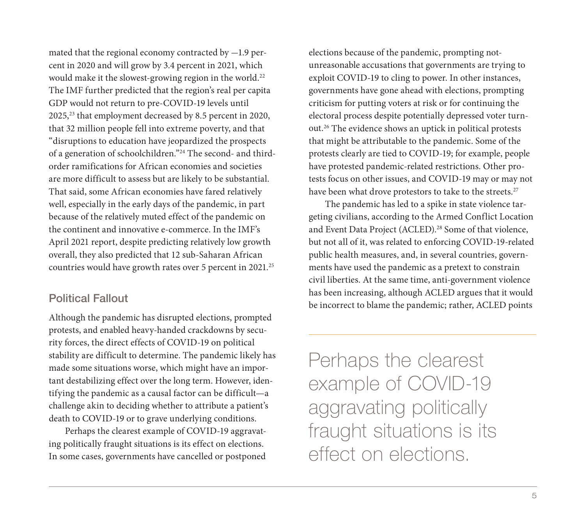mated that the regional economy contracted by —1.9 percent in 2020 and will grow by 3.4 percent in 2021, which would make it the slowest-growing region in the world.<sup>22</sup> The IMF further predicted that the region's real per capita GDP would not return to pre-COVID-19 levels until 2025,23 that employment decreased by 8.5 percent in 2020, that 32 million people fell into extreme poverty, and that "disruptions to education have jeopardized the prospects of a generation of schoolchildren."24 The second- and thirdorder ramifications for African economies and societies are more difficult to assess but are likely to be substantial. That said, some African economies have fared relatively well, especially in the early days of the pandemic, in part because of the relatively muted effect of the pandemic on the continent and innovative e-commerce. In the IMF's April 2021 report, despite predicting relatively low growth overall, they also predicted that 12 sub-Saharan African countries would have growth rates over 5 percent in 2021.25

## Political Fallout

Although the pandemic has disrupted elections, prompted protests, and enabled heavy-handed crackdowns by security forces, the direct effects of COVID-19 on political stability are difficult to determine. The pandemic likely has made some situations worse, which might have an important destabilizing effect over the long term. However, identifying the pandemic as a causal factor can be difficult—a challenge akin to deciding whether to attribute a patient's death to COVID-19 or to grave underlying conditions.

Perhaps the clearest example of COVID-19 aggravating politically fraught situations is its effect on elections. In some cases, governments have cancelled or postponed

elections because of the pandemic, prompting notunreasonable accusations that governments are trying to exploit COVID-19 to cling to power. In other instances, governments have gone ahead with elections, prompting criticism for putting voters at risk or for continuing the electoral process despite potentially depressed voter turnout.26 The evidence shows an uptick in political protests that might be attributable to the pandemic. Some of the protests clearly are tied to COVID-19; for example, people have protested pandemic-related restrictions. Other protests focus on other issues, and COVID-19 may or may not have been what drove protestors to take to the streets.<sup>27</sup>

The pandemic has led to a spike in state violence targeting civilians, according to the Armed Conflict Location and Event Data Project (ACLED).<sup>28</sup> Some of that violence, but not all of it, was related to enforcing COVID-19-related public health measures, and, in several countries, governments have used the pandemic as a pretext to constrain civil liberties. At the same time, anti-government violence has been increasing, although ACLED argues that it would be incorrect to blame the pandemic; rather, ACLED points

Perhaps the clearest example of COVID-19 aggravating politically fraught situations is its effect on elections.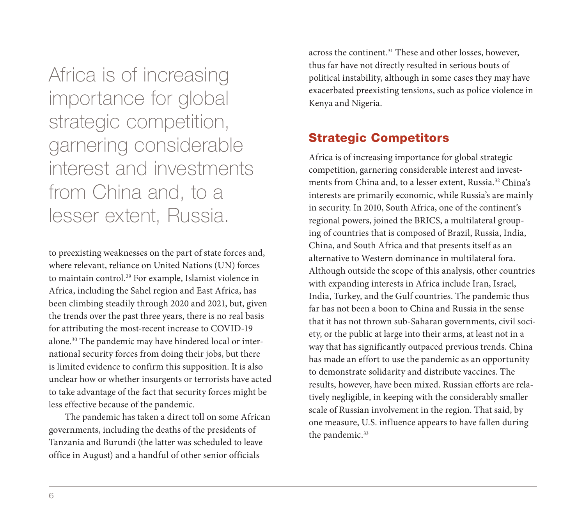Africa is of increasing importance for global strategic competition, garnering considerable interest and investments from China and, to a lesser extent, Russia.

to preexisting weaknesses on the part of state forces and, where relevant, reliance on United Nations (UN) forces to maintain control.29 For example, Islamist violence in Africa, including the Sahel region and East Africa, has been climbing steadily through 2020 and 2021, but, given the trends over the past three years, there is no real basis for attributing the most-recent increase to COVID-19 alone.30 The pandemic may have hindered local or international security forces from doing their jobs, but there is limited evidence to confirm this supposition. It is also unclear how or whether insurgents or terrorists have acted to take advantage of the fact that security forces might be less effective because of the pandemic.

The pandemic has taken a direct toll on some African governments, including the deaths of the presidents of Tanzania and Burundi (the latter was scheduled to leave office in August) and a handful of other senior officials

across the continent.<sup>31</sup> These and other losses, however, thus far have not directly resulted in serious bouts of political instability, although in some cases they may have exacerbated preexisting tensions, such as police violence in Kenya and Nigeria.

## Strategic Competitors

Africa is of increasing importance for global strategic competition, garnering considerable interest and investments from China and, to a lesser extent, Russia.<sup>32</sup> China's interests are primarily economic, while Russia's are mainly in security. In 2010, South Africa, one of the continent's regional powers, joined the BRICS, a multilateral grouping of countries that is composed of Brazil, Russia, India, China, and South Africa and that presents itself as an alternative to Western dominance in multilateral fora. Although outside the scope of this analysis, other countries with expanding interests in Africa include Iran, Israel, India, Turkey, and the Gulf countries. The pandemic thus far has not been a boon to China and Russia in the sense that it has not thrown sub-Saharan governments, civil society, or the public at large into their arms, at least not in a way that has significantly outpaced previous trends. China has made an effort to use the pandemic as an opportunity to demonstrate solidarity and distribute vaccines. The results, however, have been mixed. Russian efforts are relatively negligible, in keeping with the considerably smaller scale of Russian involvement in the region. That said, by one measure, U.S. influence appears to have fallen during the pandemic.<sup>33</sup>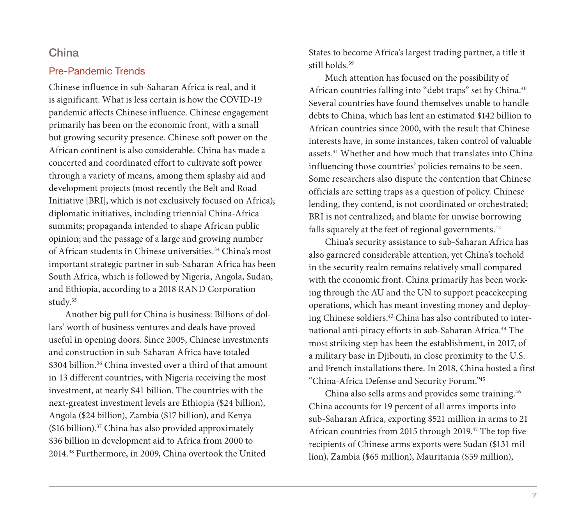#### **China**

#### Pre-Pandemic Trends

Chinese influence in sub-Saharan Africa is real, and it is significant. What is less certain is how the COVID-19 pandemic affects Chinese influence. Chinese engagement primarily has been on the economic front, with a small but growing security presence. Chinese soft power on the African continent is also considerable. China has made a concerted and coordinated effort to cultivate soft power through a variety of means, among them splashy aid and development projects (most recently the Belt and Road Initiative [BRI], which is not exclusively focused on Africa); diplomatic initiatives, including triennial China-Africa summits; propaganda intended to shape African public opinion; and the passage of a large and growing number of African students in Chinese universities.<sup>34</sup> China's most important strategic partner in sub-Saharan Africa has been South Africa, which is followed by Nigeria, Angola, Sudan, and Ethiopia, according to a 2018 RAND Corporation study.35

Another big pull for China is business: Billions of dollars' worth of business ventures and deals have proved useful in opening doors. Since 2005, Chinese investments and construction in sub-Saharan Africa have totaled \$304 billion.<sup>36</sup> China invested over a third of that amount in 13 different countries, with Nigeria receiving the most investment, at nearly \$41 billion. The countries with the next-greatest investment levels are Ethiopia (\$24 billion), Angola (\$24 billion), Zambia (\$17 billion), and Kenya (\$16 billion).37 China has also provided approximately \$36 billion in development aid to Africa from 2000 to 2014.38 Furthermore, in 2009, China overtook the United

States to become Africa's largest trading partner, a title it still holds.<sup>39</sup>

Much attention has focused on the possibility of African countries falling into "debt traps" set by China.40 Several countries have found themselves unable to handle debts to China, which has lent an estimated \$142 billion to African countries since 2000, with the result that Chinese interests have, in some instances, taken control of valuable assets.41 Whether and how much that translates into China influencing those countries' policies remains to be seen. Some researchers also dispute the contention that Chinese officials are setting traps as a question of policy. Chinese lending, they contend, is not coordinated or orchestrated; BRI is not centralized; and blame for unwise borrowing falls squarely at the feet of regional governments.<sup>42</sup>

China's security assistance to sub-Saharan Africa has also garnered considerable attention, yet China's toehold in the security realm remains relatively small compared with the economic front. China primarily has been working through the AU and the UN to support peacekeeping operations, which has meant investing money and deploying Chinese soldiers.<sup>43</sup> China has also contributed to international anti-piracy efforts in sub-Saharan Africa.<sup>44</sup> The most striking step has been the establishment, in 2017, of a military base in Djibouti, in close proximity to the U.S. and French installations there. In 2018, China hosted a first "China-Africa Defense and Security Forum."45

China also sells arms and provides some training.46 China accounts for 19 percent of all arms imports into sub-Saharan Africa, exporting \$521 million in arms to 21 African countries from 2015 through 2019.47 The top five recipients of Chinese arms exports were Sudan (\$131 million), Zambia (\$65 million), Mauritania (\$59 million),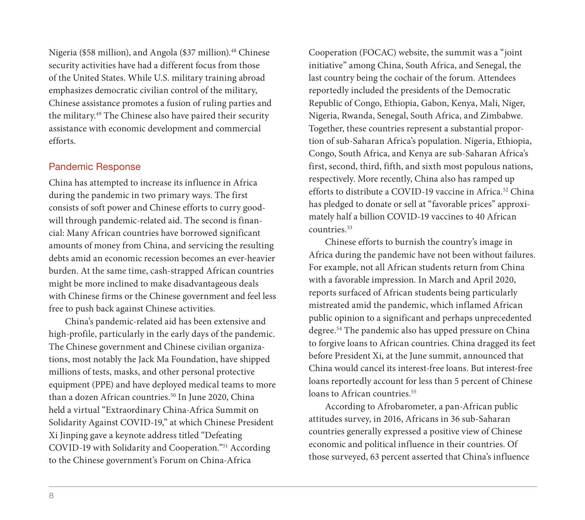Nigeria (\$58 million), and Angola (\$37 million).<sup>48</sup> Chinese security activities have had a different focus from those of the United States. While U.S. military training abroad emphasizes democratic civilian control of the military, Chinese assistance promotes a fusion of ruling parties and the military.49 The Chinese also have paired their security assistance with economic development and commercial efforts.

#### Pandemic Response

China has attempted to increase its influence in Africa during the pandemic in two primary ways. The first consists of soft power and Chinese efforts to curry goodwill through pandemic-related aid. The second is financial: Many African countries have borrowed significant amounts of money from China, and servicing the resulting debts amid an economic recession becomes an ever-heavier burden. At the same time, cash-strapped African countries might be more inclined to make disadvantageous deals with Chinese firms or the Chinese government and feel less free to push back against Chinese activities.

China's pandemic-related aid has been extensive and high-profile, particularly in the early days of the pandemic. The Chinese government and Chinese civilian organizations, most notably the Jack Ma Foundation, have shipped millions of tests, masks, and other personal protective equipment (PPE) and have deployed medical teams to more than a dozen African countries.<sup>50</sup> In June 2020, China held a virtual "Extraordinary China-Africa Summit on Solidarity Against COVID-19," at which Chinese President Xi Jinping gave a keynote address titled "Defeating COVID-19 with Solidarity and Cooperation."51 According to the Chinese government's Forum on China-Africa

Cooperation (FOCAC) website, the summit was a "joint initiative" among China, South Africa, and Senegal, the last country being the cochair of the forum. Attendees reportedly included the presidents of the Democratic Republic of Congo, Ethiopia, Gabon, Kenya, Mali, Niger, Nigeria, Rwanda, Senegal, South Africa, and Zimbabwe. Together, these countries represent a substantial proportion of sub-Saharan Africa's population. Nigeria, Ethiopia, Congo, South Africa, and Kenya are sub-Saharan Africa's first, second, third, fifth, and sixth most populous nations, respectively. More recently, China also has ramped up efforts to distribute a COVID-19 vaccine in Africa.<sup>52</sup> China has pledged to donate or sell at "favorable prices" approximately half a billion COVID-19 vaccines to 40 African countries.53

Chinese efforts to burnish the country's image in Africa during the pandemic have not been without failures. For example, not all African students return from China with a favorable impression. In March and April 2020, reports surfaced of African students being particularly mistreated amid the pandemic, which inflamed African public opinion to a significant and perhaps unprecedented degree.54 The pandemic also has upped pressure on China to forgive loans to African countries. China dragged its feet before President Xi, at the June summit, announced that China would cancel its interest-free loans. But interest-free loans reportedly account for less than 5 percent of Chinese loans to African countries.<sup>55</sup>

According to Afrobarometer, a pan-African public attitudes survey, in 2016, Africans in 36 sub-Saharan countries generally expressed a positive view of Chinese economic and political influence in their countries. Of those surveyed, 63 percent asserted that China's influence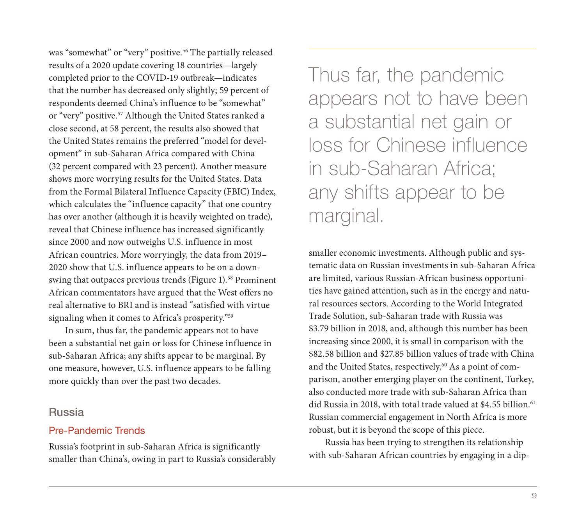was "somewhat" or "very" positive.<sup>56</sup> The partially released results of a 2020 update covering 18 countries—largely completed prior to the COVID-19 outbreak—indicates that the number has decreased only slightly; 59 percent of respondents deemed China's influence to be "somewhat" or "very" positive.57 Although the United States ranked a close second, at 58 percent, the results also showed that the United States remains the preferred "model for development" in sub-Saharan Africa compared with China (32 percent compared with 23 percent). Another measure shows more worrying results for the United States. Data from the Formal Bilateral Influence Capacity (FBIC) Index, which calculates the "influence capacity" that one country has over another (although it is heavily weighted on trade), reveal that Chinese influence has increased significantly since 2000 and now outweighs U.S. influence in most African countries. More worryingly, the data from 2019– 2020 show that U.S. influence appears to be on a downswing that outpaces previous trends (Figure 1).<sup>58</sup> Prominent African commentators have argued that the West offers no real alternative to BRI and is instead "satisfied with virtue signaling when it comes to Africa's prosperity."59

In sum, thus far, the pandemic appears not to have been a substantial net gain or loss for Chinese influence in sub-Saharan Africa; any shifts appear to be marginal. By one measure, however, U.S. influence appears to be falling more quickly than over the past two decades.

#### Russia

#### Pre-Pandemic Trends

Russia's footprint in sub-Saharan Africa is significantly smaller than China's, owing in part to Russia's considerably Thus far, the pandemic appears not to have been a substantial net gain or loss for Chinese influence in sub-Saharan Africa; any shifts appear to be marginal.

smaller economic investments. Although public and systematic data on Russian investments in sub-Saharan Africa are limited, various Russian-African business opportunities have gained attention, such as in the energy and natural resources sectors. According to the World Integrated Trade Solution, sub-Saharan trade with Russia was \$3.79 billion in 2018, and, although this number has been increasing since 2000, it is small in comparison with the \$82.58 billion and \$27.85 billion values of trade with China and the United States, respectively.<sup>60</sup> As a point of comparison, another emerging player on the continent, Turkey, also conducted more trade with sub-Saharan Africa than did Russia in 2018, with total trade valued at \$4.55 billion.<sup>61</sup> Russian commercial engagement in North Africa is more robust, but it is beyond the scope of this piece.

Russia has been trying to strengthen its relationship with sub-Saharan African countries by engaging in a dip-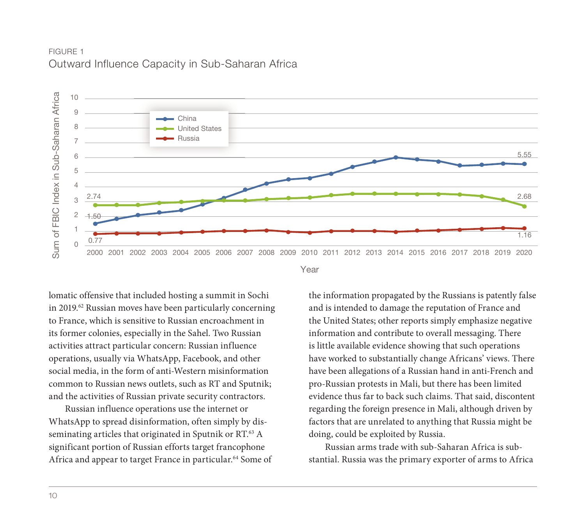FIGURE 1 Outward Influence Capacity in Sub-Saharan Africa





lomatic offensive that included hosting a summit in Sochi in 2019.62 Russian moves have been particularly concerning to France, which is sensitive to Russian encroachment in its former colonies, especially in the Sahel. Two Russian activities attract particular concern: Russian influence operations, usually via WhatsApp, Facebook, and other social media, in the form of anti-Western misinformation common to Russian news outlets, such as RT and Sputnik; and the activities of Russian private security contractors.

Russian influence operations use the internet or WhatsApp to spread disinformation, often simply by disseminating articles that originated in Sputnik or RT.<sup>63</sup> A significant portion of Russian efforts target francophone Africa and appear to target France in particular.<sup>64</sup> Some of

the information propagated by the Russians is patently false and is intended to damage the reputation of France and the United States; other reports simply emphasize negative information and contribute to overall messaging. There is little available evidence showing that such operations have worked to substantially change Africans' views. There have been allegations of a Russian hand in anti-French and pro-Russian protests in Mali, but there has been limited evidence thus far to back such claims. That said, discontent regarding the foreign presence in Mali, although driven by factors that are unrelated to anything that Russia might be doing, could be exploited by Russia.

Russian arms trade with sub-Saharan Africa is substantial. Russia was the primary exporter of arms to Africa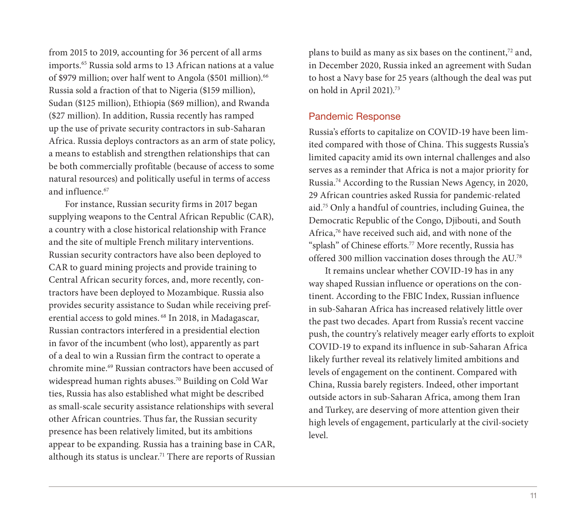from 2015 to 2019, accounting for 36 percent of all arms imports.65 Russia sold arms to 13 African nations at a value of \$979 million; over half went to Angola (\$501 million).66 Russia sold a fraction of that to Nigeria (\$159 million), Sudan (\$125 million), Ethiopia (\$69 million), and Rwanda (\$27 million). In addition, Russia recently has ramped up the use of private security contractors in sub-Saharan Africa. Russia deploys contractors as an arm of state policy, a means to establish and strengthen relationships that can be both commercially profitable (because of access to some natural resources) and politically useful in terms of access and influence.<sup>67</sup>

For instance, Russian security firms in 2017 began supplying weapons to the Central African Republic (CAR), a country with a close historical relationship with France and the site of multiple French military interventions. Russian security contractors have also been deployed to CAR to guard mining projects and provide training to Central African security forces, and, more recently, contractors have been deployed to Mozambique. Russia also provides security assistance to Sudan while receiving preferential access to gold mines. 68 In 2018, in Madagascar, Russian contractors interfered in a presidential election in favor of the incumbent (who lost), apparently as part of a deal to win a Russian firm the contract to operate a chromite mine.69 Russian contractors have been accused of widespread human rights abuses.70 Building on Cold War ties, Russia has also established what might be described as small-scale security assistance relationships with several other African countries. Thus far, the Russian security presence has been relatively limited, but its ambitions appear to be expanding. Russia has a training base in CAR, although its status is unclear.<sup>71</sup> There are reports of Russian plans to build as many as six bases on the continent,<sup>72</sup> and, in December 2020, Russia inked an agreement with Sudan to host a Navy base for 25 years (although the deal was put on hold in April 2021).73

#### Pandemic Response

Russia's efforts to capitalize on COVID-19 have been limited compared with those of China. This suggests Russia's limited capacity amid its own internal challenges and also serves as a reminder that Africa is not a major priority for Russia.74 According to the Russian News Agency, in 2020, 29 African countries asked Russia for pandemic-related aid.75 Only a handful of countries, including Guinea, the Democratic Republic of the Congo, Djibouti, and South Africa,<sup>76</sup> have received such aid, and with none of the "splash" of Chinese efforts.<sup>77</sup> More recently, Russia has offered 300 million vaccination doses through the AU.78

It remains unclear whether COVID-19 has in any way shaped Russian influence or operations on the continent. According to the FBIC Index, Russian influence in sub-Saharan Africa has increased relatively little over the past two decades. Apart from Russia's recent vaccine push, the country's relatively meager early efforts to exploit COVID-19 to expand its influence in sub-Saharan Africa likely further reveal its relatively limited ambitions and levels of engagement on the continent. Compared with China, Russia barely registers. Indeed, other important outside actors in sub-Saharan Africa, among them Iran and Turkey, are deserving of more attention given their high levels of engagement, particularly at the civil-society level.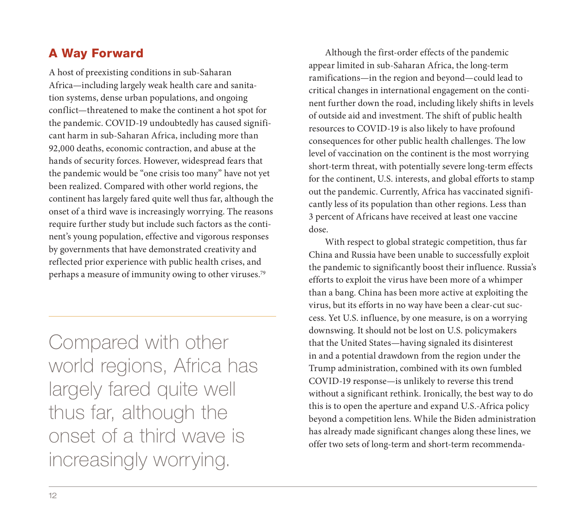## A Way Forward

A host of preexisting conditions in sub-Saharan Africa—including largely weak health care and sanitation systems, dense urban populations, and ongoing conflict—threatened to make the continent a hot spot for the pandemic. COVID-19 undoubtedly has caused significant harm in sub-Saharan Africa, including more than 92,000 deaths, economic contraction, and abuse at the hands of security forces. However, widespread fears that the pandemic would be "one crisis too many" have not yet been realized. Compared with other world regions, the continent has largely fared quite well thus far, although the onset of a third wave is increasingly worrying. The reasons require further study but include such factors as the continent's young population, effective and vigorous responses by governments that have demonstrated creativity and reflected prior experience with public health crises, and perhaps a measure of immunity owing to other viruses.79

Compared with other world regions, Africa has largely fared quite well thus far, although the onset of a third wave is increasingly worrying.

Although the first-order effects of the pandemic appear limited in sub-Saharan Africa, the long-term ramifications—in the region and beyond—could lead to critical changes in international engagement on the continent further down the road, including likely shifts in levels of outside aid and investment. The shift of public health resources to COVID-19 is also likely to have profound consequences for other public health challenges. The low level of vaccination on the continent is the most worrying short-term threat, with potentially severe long-term effects for the continent, U.S. interests, and global efforts to stamp out the pandemic. Currently, Africa has vaccinated significantly less of its population than other regions. Less than 3 percent of Africans have received at least one vaccine dose.

With respect to global strategic competition, thus far China and Russia have been unable to successfully exploit the pandemic to significantly boost their influence. Russia's efforts to exploit the virus have been more of a whimper than a bang. China has been more active at exploiting the virus, but its efforts in no way have been a clear-cut success. Yet U.S. influence, by one measure, is on a worrying downswing. It should not be lost on U.S. policymakers that the United States—having signaled its disinterest in and a potential drawdown from the region under the Trump administration, combined with its own fumbled COVID-19 response—is unlikely to reverse this trend without a significant rethink. Ironically, the best way to do this is to open the aperture and expand U.S.-Africa policy beyond a competition lens. While the Biden administration has already made significant changes along these lines, we offer two sets of long-term and short-term recommenda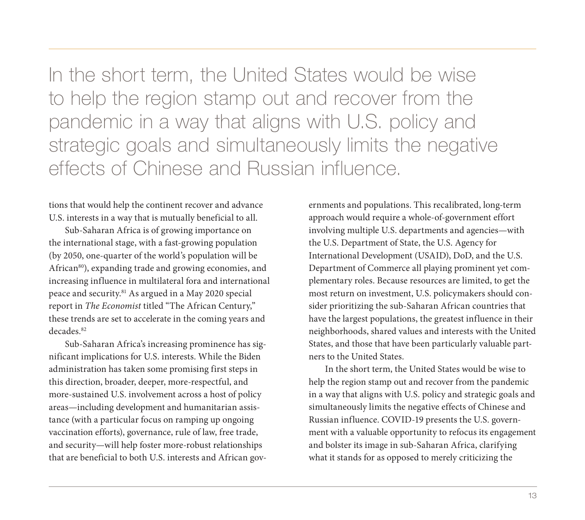In the short term, the United States would be wise to help the region stamp out and recover from the pandemic in a way that aligns with U.S. policy and strategic goals and simultaneously limits the negative effects of Chinese and Russian influence.

tions that would help the continent recover and advance U.S. interests in a way that is mutually beneficial to all.

Sub-Saharan Africa is of growing importance on the international stage, with a fast-growing population (by 2050, one-quarter of the world's population will be African<sup>80</sup>), expanding trade and growing economies, and increasing influence in multilateral fora and international peace and security.81 As argued in a May 2020 special report in *The Economist* titled "The African Century," these trends are set to accelerate in the coming years and decades.82

Sub-Saharan Africa's increasing prominence has significant implications for U.S. interests. While the Biden administration has taken some promising first steps in this direction, broader, deeper, more-respectful, and more-sustained U.S. involvement across a host of policy areas—including development and humanitarian assistance (with a particular focus on ramping up ongoing vaccination efforts), governance, rule of law, free trade, and security—will help foster more-robust relationships that are beneficial to both U.S. interests and African gov-

ernments and populations. This recalibrated, long-term approach would require a whole-of-government effort involving multiple U.S. departments and agencies—with the U.S. Department of State, the U.S. Agency for International Development (USAID), DoD, and the U.S. Department of Commerce all playing prominent yet complementary roles. Because resources are limited, to get the most return on investment, U.S. policy makers should consider prioritizing the sub-Saharan African countries that have the largest populations, the greatest influence in their neighborhoods, shared values and interests with the United States, and those that have been particularly valuable partners to the United States.

In the short term, the United States would be wise to help the region stamp out and recover from the pandemic in a way that aligns with U.S. policy and strategic goals and simultaneously limits the negative effects of Chinese and Russian influence. COVID-19 presents the U.S. government with a valuable opportunity to refocus its engagement and bolster its image in sub-Saharan Africa, clarifying what it stands for as opposed to merely criticizing the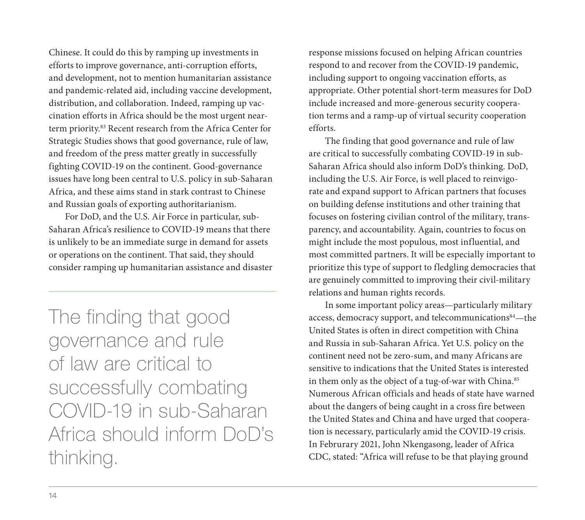Chinese. It could do this by ramping up investments in efforts to improve governance, anti-corruption efforts, and development, not to mention humanitarian assistance and pandemic-related aid, including vaccine development, distribution, and collaboration. Indeed, ramping up vaccination efforts in Africa should be the most urgent nearterm priority.83 Recent research from the Africa Center for Strategic Studies shows that good governance, rule of law, and freedom of the press matter greatly in successfully fighting COVID-19 on the continent. Good-governance issues have long been central to U.S. policy in sub-Saharan Africa, and these aims stand in stark contrast to Chinese and Russian goals of exporting authoritarianism.

For DoD, and the U.S. Air Force in particular, sub-Saharan Africa's resilience to COVID-19 means that there is unlikely to be an immediate surge in demand for assets or operations on the continent. That said, they should consider ramping up humanitarian assistance and disaster

The finding that good governance and rule of law are critical to successfully combating COVID-19 in sub-Saharan Africa should inform DoD's thinking.

response missions focused on helping African countries respond to and recover from the COVID-19 pandemic, including support to ongoing vaccination efforts, as appropriate. Other potential short-term measures for DoD include increased and more-generous security cooperation terms and a ramp-up of virtual security cooperation efforts.

The finding that good governance and rule of law are critical to successfully combating COVID-19 in sub-Saharan Africa should also inform DoD's thinking. DoD, including the U.S. Air Force, is well placed to reinvigorate and expand support to African partners that focuses on building defense institutions and other training that focuses on fostering civilian control of the military, transparency, and accountability. Again, countries to focus on might include the most populous, most influential, and most committed partners. It will be especially important to prioritize this type of support to fledgling democracies that are genuinely committed to improving their civil-military relations and human rights records.

In some important policy areas—particularly military access, democracy support, and telecommunications<sup>84</sup>—the United States is often in direct competition with China and Russia in sub-Saharan Africa. Yet U.S. policy on the continent need not be zero-sum, and many Africans are sensitive to indications that the United States is interested in them only as the object of a tug-of-war with China.<sup>85</sup> Numerous African officials and heads of state have warned about the dangers of being caught in a cross fire between the United States and China and have urged that cooperation is necessary, particularly amid the COVID-19 crisis. In Februrary 2021, John Nkengasong, leader of Africa CDC, stated: "Africa will refuse to be that playing ground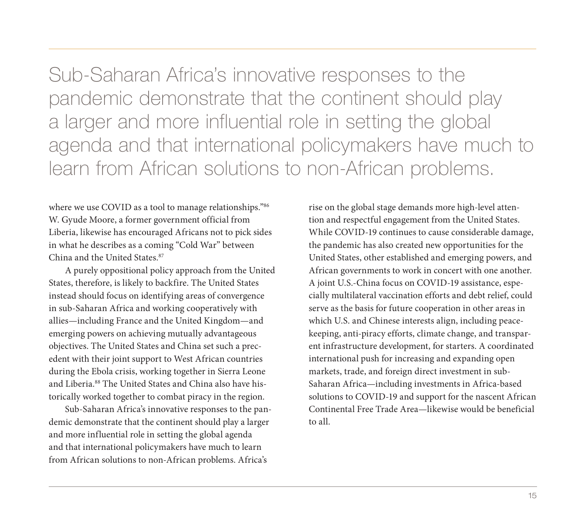Sub-Saharan Africa's innovative responses to the pandemic demonstrate that the continent should play a larger and more influential role in setting the global agenda and that international policymakers have much to learn from African solutions to non-African problems.

where we use COVID as a tool to manage relationships."86 W. Gyude Moore, a former government official from Liberia, likewise has encouraged Africans not to pick sides in what he describes as a coming "Cold War" between China and the United States.87

A purely oppositional policy approach from the United States, therefore, is likely to backfire. The United States instead should focus on identifying areas of convergence in sub-Saharan Africa and working cooperatively with allies—including France and the United Kingdom—and emerging powers on achieving mutually advantageous objectives. The United States and China set such a precedent with their joint support to West African countries during the Ebola crisis, working together in Sierra Leone and Liberia.<sup>88</sup> The United States and China also have historically worked together to combat piracy in the region.

Sub-Saharan Africa's innovative responses to the pandemic demonstrate that the continent should play a larger and more influential role in setting the global agenda and that international policymakers have much to learn from African solutions to non-African problems. Africa's

rise on the global stage demands more high-level attention and respectful engagement from the United States. While COVID-19 continues to cause considerable damage, the pandemic has also created new opportunities for the United States, other established and emerging powers, and African governments to work in concert with one another. A joint U.S.-China focus on COVID-19 assistance, especially multilateral vaccination efforts and debt relief, could serve as the basis for future cooperation in other areas in which U.S. and Chinese interests align, including peacekeeping, anti-piracy efforts, climate change, and transparent infrastructure development, for starters. A coordinated international push for increasing and expanding open markets, trade, and foreign direct investment in sub-Saharan Africa—including investments in Africa-based solutions to COVID-19 and support for the nascent African Continental Free Trade Area—likewise would be beneficial to all.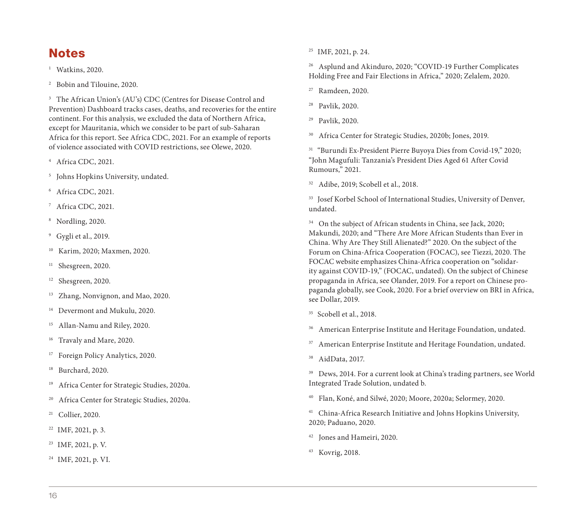## **Notes**

1 Watkins, 2020.

2 Bobin and Tilouine, 2020.

<sup>3</sup> The African Union's (AU's) CDC (Centres for Disease Control and Prevention) Dashboard tracks cases, deaths, and recoveries for the entire continent. For this analysis, we excluded the data of Northern Africa, except for Mauritania, which we consider to be part of sub-Saharan Africa for this report. See Africa CDC, 2021. For an example of reports of violence associated with COVID restrictions, see Olewe, 2020.

- Africa CDC, 2021.
- <sup>5</sup> Johns Hopkins University, undated.
- 6 Africa CDC, 2021.
- 7 Africa CDC, 2021.
- 8 Nordling, 2020.
- 9 Gygli et al., 2019.
- 10 Karim, 2020; Maxmen, 2020.
- $<sup>11</sup>$  Shesgreen, 2020.</sup>
- <sup>12</sup> Shesgreen, 2020.
- <sup>13</sup> Zhang, Nonvignon, and Mao, 2020.
- <sup>14</sup> Devermont and Mukulu, 2020.
- 15 Allan-Namu and Riley, 2020.
- <sup>16</sup> Travaly and Mare, 2020.
- <sup>17</sup> Foreign Policy Analytics, 2020.
- Burchard, 2020.
- <sup>19</sup> Africa Center for Strategic Studies, 2020a.
- 20 Africa Center for Strategic Studies, 2020a.
- 21 Collier, 2020.
- $22$  IMF, 2021, p. 3.
- 23 IMF, 2021, p. V.

24 IMF, 2021, p. VI.

25 IMF, 2021, p. 24.

26 Asplund and Akinduro, 2020; "COVID-19 Further Complicates Holding Free and Fair Elections in Africa," 2020; Zelalem, 2020.

- 27 Ramdeen, 2020.
- 28 Pavlik, 2020.
- 29 Pavlik, 2020.
- 30 Africa Center for Strategic Studies, 2020b; Jones, 2019.

31 "Burundi Ex-President Pierre Buyoya Dies from Covid-19," 2020; "John Magufuli: Tanzania's President Dies Aged 61 After Covid Rumours," 2021.

32 Adibe, 2019; Scobell et al., 2018.

33 Josef Korbel School of International Studies, University of Denver, undated.

<sup>34</sup> On the subject of African students in China, see Jack, 2020; Makundi, 2020; and "There Are More African Students than Ever in China. Why Are They Still Alienated?" 2020. On the subject of the Forum on China-Africa Cooperation (FOCAC), see Tiezzi, 2020. The FOCAC website emphasizes China-Africa cooperation on "solidarity against COVID-19," (FOCAC, undated). On the subject of Chinese propaganda in Africa, see Olander, 2019. For a report on Chinese propaganda globally, see Cook, 2020. For a brief overview on BRI in Africa, see Dollar, 2019.

- <sup>35</sup> Scobell et al., 2018.
- 36 American Enterprise Institute and Heritage Foundation, undated.
- <sup>37</sup> American Enterprise Institute and Heritage Foundation, undated.
- 38 AidData, 2017.
- 39 Dews, 2014. For a current look at China's trading partners, see World Integrated Trade Solution, undated b.
- 40 Flan, Koné, and Silwé, 2020; Moore, 2020a; Selormey, 2020.
- 41 China-Africa Research Initiative and Johns Hopkins University, 2020; Paduano, 2020.
- 42 Jones and Hameiri, 2020.
- 43 Kovrig, 2018.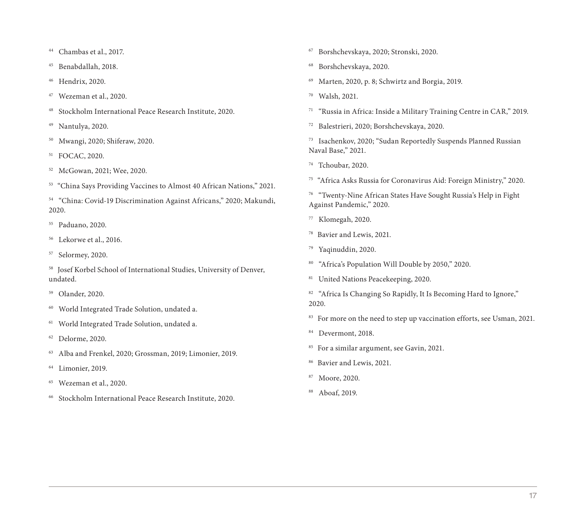44 Chambas et al., 2017.

45 Benabdallah, 2018.

46 Hendrix, 2020.

47 Wezeman et al., 2020.

48 Stockholm International Peace Research Institute, 2020.

49 Nantulya, 2020.

50 Mwangi, 2020; Shiferaw, 2020.

51 FOCAC, 2020.

52 McGowan, 2021; Wee, 2020.

53 "China Says Providing Vaccines to Almost 40 African Nations," 2021.

54 "China: Covid-19 Discrimination Against Africans," 2020; Makundi, 2020.

55 Paduano, 2020.

56 Lekorwe et al., 2016.

57 Selormey, 2020.

58 Josef Korbel School of International Studies, University of Denver, undated.

59 Olander, 2020.

60 World Integrated Trade Solution, undated a.

61 World Integrated Trade Solution, undated a.

62 Delorme, 2020.

63 Alba and Frenkel, 2020; Grossman, 2019; Limonier, 2019.

64 Limonier, 2019.

65 Wezeman et al., 2020.

66 Stockholm International Peace Research Institute, 2020.

67 Borshchevskaya, 2020; Stronski, 2020.

68 Borshchevskaya, 2020.

69 Marten, 2020, p. 8; Schwirtz and Borgia, 2019.

70 Walsh, 2021.

71 "Russia in Africa: Inside a Military Training Centre in CAR," 2019.

72 Balestrieri, 2020; Borshchevskaya, 2020.

73 Isachenkov, 2020; "Sudan Reportedly Suspends Planned Russian Naval Base," 2021.

74 Tchoubar, 2020.

75 "Africa Asks Russia for Coronavirus Aid: Foreign Ministry," 2020.

76 "Twenty-Nine African States Have Sought Russia's Help in Fight Against Pandemic," 2020.

77 Klomegah, 2020.

78 Bavier and Lewis, 2021.

79 Yaqinuddin, 2020.

80 "Africa's Population Will Double by 2050," 2020.

81 United Nations Peacekeeping, 2020.

<sup>82</sup> "Africa Is Changing So Rapidly, It Is Becoming Hard to Ignore," 2020.

<sup>83</sup> For more on the need to step up vaccination efforts, see Usman, 2021.

<sup>84</sup> Devermont, 2018.

85 For a similar argument, see Gavin, 2021.

86 Bavier and Lewis, 2021.

87 Moore, 2020.

88 Aboaf, 2019.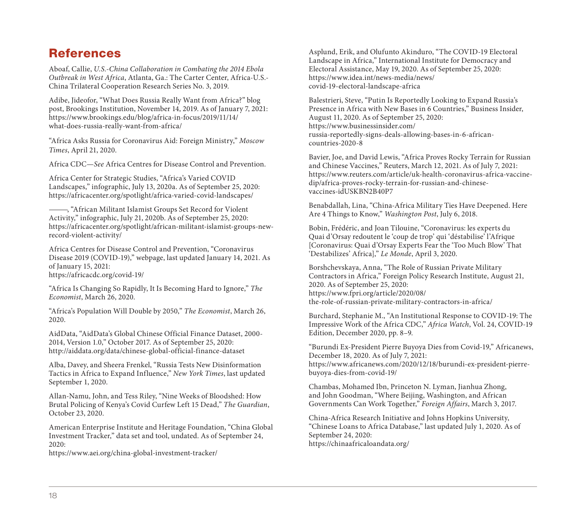## References

Aboaf, Callie, *U.S.-China Collaboration in Combating the 2014 Ebola [Outbreak in West Africa](https://africacdc.org/covid-19/)*, Atlanta, Ga.: The Carter Center, Africa-U.S.- China Trilateral Cooperation Research Series No. 3, 2019.

Adibe, Jideofor, "What Does Russia Really Want from Africa?" blog post, Brookings Institution, November 14, 2019. As of January 7, 2021: https://www.brookings.edu/blog/africa-in-focus/2019/11/14/ what-does-russia-really-want-from-africa/

"Africa Asks Russia for Coronavirus Aid: Foreign Ministry," *Moscow Times*[, April 21, 2020.](http://aiddata.org/data/chinese-global-official-finance-dataset)

Africa CDC—*See* Africa Centres for Disease Control and Prevention.

Africa Center for Strategic Studies, "Africa's Varied COVID Landscapes," infographic, July 13, 2020a. As of September 25, 2020: https://africacenter.org/spotlight/africa-varied-covid-landscapes/

———, "African Militant Islamist Groups Set Record for Violent Activity," infographic, July 21, 2020b. As of September 25, 2020: https://africacenter.org/spotlight/african-militant-islamist-groups-newrecord-violent-activity/

Africa Centres for Disease Control and Prevention, "Coronavirus [Disease 2019 \(COVID-19\)," webpage, last updated Janu](https://www.aei.org/china-global-investment-tracker/)ary 14, 2021. As of January 15, 2021: https://africacdc.org/covid-19/

"Africa Is Changing So Rapidly, It Is Becoming Hard to Ignore," *The Economist*, March 26, 2020.

"Africa's Population Will Double by 2050," *The Economist*, March 26, 2020.

AidData, "AidData's Global Chinese Official Finance Dataset, 2000- 2014, Version 1.0," October 2017. As of September 25, 2020: http://aiddata.org/data/chinese-global-official-finance-dataset

Alba, Davey, and Sheera Frenkel, "Russia Tests New Disinformation Tactics in Africa to Expand Influence," *New York Times*, last updated September 1, 2020.

Allan-Namu, John, and Tess Riley, "Nine Weeks of Bloodshed: How Brutal Policing of Kenya's Covid Curfew Left 15 Dead," *The Guardian*, October 23, 2020.

American Enterprise Institute and Heritage Foundation, "China Global Investment Tracker," data set and tool, undated. As of September 24,  $2020$ 

https://www.aei.org/china-global-investment-tracker/

Asplund, Erik, and Olufunto Akinduro, "The COVID-19 Electoral Landscape in Africa," International Institute for Democracy and Electoral Assistance, May 19, 2020. As of September 25, 2020: https://www.idea.int/news-media/news/ covid-19-electoral-landscape-africa

[Balestrieri, Steve, "Putin Is Reportedly Looking to Expand R](https://www.fpri.org/article/2020/08/the-role-of-russian-private-military-contractors-in-africa/)ussia's Presence in Africa with New Bases in 6 Countries," Business Insider, August 11, 2020. As of September 25, 2020: https://www.businessinsider.com/ russia-reportedly-signs-deals-allowing-bases-in-6-africancountries-2020-8

Bavier, Joe, and David Lewis, "Africa Proves Rocky Terrain for Russian and Chinese Vaccines," Reuters, March 12, 2021. As of July 7, 2021: [https://www.reuters.com/article/uk-health-coronavirus-africa-vaccine](https://www.africanews.com/2020/12/18/burundi-ex-president-pierre-buyoya-dies-from-covid-19/)dip/africa-proves-rocky-terrain-for-russian-and-chinesevaccines-idUSKBN2B40P7

Benabdallah, Lina, "China-Africa Military Ties Have Deepened. Here Are 4 Things to Know," *Washington Post*, July 6, 2018.

Bobin, Frédéric, and Joan Tilouine, "Coronavirus: les experts du Quai d'Orsay redoutent le 'coup de trop' qui 'déstabilise' l'Afrique [\[Coronavirus: Quai d'Orsay Exp](https://chinaafricaloandata.org/)erts Fear the 'Too Much Blow' That 'Destabilizes' Africa]," *Le Monde*, April 3, 2020.

Borshchevskaya, Anna, "The Role of Russian Private Military Contractors in Africa," Foreign Policy Research Institute, August 21, 2020. As of September 25, 2020: https://www.fpri.org/article/2020/08/ the-role-of-russian-private-military-contractors-in-africa/

Burchard, Stephanie M., "An Institutional Response to COVID-19: The Impressive Work of the Africa CDC," *Africa Watch*, Vol. 24, COVID-19 Edition, December 2020, pp. 8–9.

"Burundi Ex-President Pierre Buyoya Dies from Covid-19," Africanews, December 18, 2020. As of July 7, 2021: https://www.africanews.com/2020/12/18/burundi-ex-president-pierrebuyoya-dies-from-covid-19/

Chambas, Mohamed Ibn, Princeton N. Lyman, Jianhua Zhong, and John Goodman, "Where Beijing, Washington, and African Governments Can Work Together," *Foreign Affairs*, March 3, 2017.

China-Africa Research Initiative and Johns Hopkins University, "Chinese Loans to Africa Database," last updated July 1, 2020. As of September 24, 2020: https://chinaafricaloandata.org/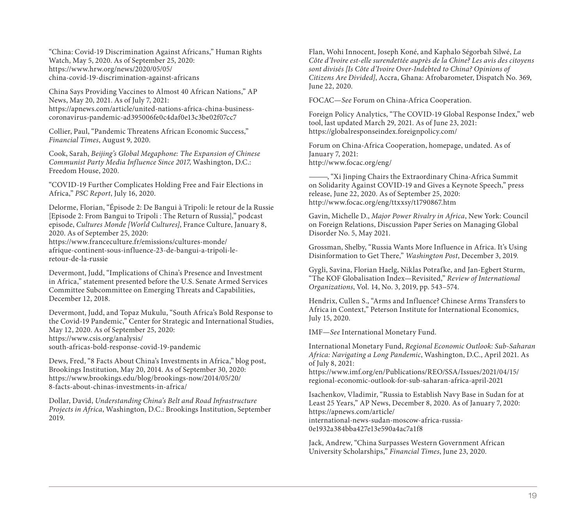["China: Covid-19 Discrimination Against Africans," Human](https://www.franceculture.fr/emissions/cultures-monde/afrique-continent-sous-influence-23-de-bangui-a-tripoli-le-retour-de-la-russie) Rights Watch, May 5, 2020. As of September 25, 2020: https://www.hrw.org/news/2020/05/05/ china-covid-19-discrimination-against-africans

China Says Providing Vaccines to Almost 40 African Nations," AP News, May 20, 2021. As of July 7, 2021: https://apnews.com/article/united-nations-africa-china-businesscoronavirus-pandemic-ad395006fe0c4daf0e13c3be02f07cc7

Collier, Paul, "Pandemic Threatens African Economic Success," *Financial Times*, August 9, 2020.

Cook, Sarah, *[Beijing's Global Megaphone: The Exp](https://www.csis.org/analysis/south-africas-bold-response-covid-19-pandemic)ansion of Chinese Communist Party Media Influence Since 2017*, Washington, D.C.: Freedom House, 2020.

["COVID-19 Further Complicates Holding Free and Fair Elect](https://www.brookings.edu/blog/brookings-now/2014/05/20/8-facts-about-chinas-investments-in-africa/)ions in Africa," *PSC Report*, July 16, 2020.

Delorme, Florian, "Épisode 2: De Bangui à Tripoli: le retour de la Russie [Episode 2: From Bangui to Tripoli : The Return of Russia]," podcast episode, *Cultures Monde [World Cultures]*, France Culture, January 8, 2020. As of September 25, 2020:

https://www.franceculture.fr/emissions/cultures-monde/ afrique-continent-sous-influence-23-de-bangui-a-tripoli-leretour-de-la-russie

Devermont, Judd, "Implications of China's Presence and Investment in Africa," statement presented before the U.S. Senate Armed Services Committee Subcommittee on Emerging Threats and Capabilities, December 12, 2018.

Devermont, Judd, and Topaz Mukulu, "South Africa's Bold Response to the Covid-19 Pandemic," Center for Strategic and International Studies, May 12, 2020. As of September 25, 2020: https://www.csis.org/analysis/

south-africas-bold-response-covid-19-pandemic

Dews, Fred, "8 Facts About China's Investments in Africa," blog post, Brookings Institution, May 20, 2014. As of September 30, 2020: https://www.brookings.edu/blog/brookings-now/2014/05/20/ 8-facts-about-chinas-investments-in-africa/

Dollar, David, *Understanding China's Belt and Road Infrastructure Projects in Africa*, Washington, D.C.: Brookings Institution, September 2019.

Flan, Wohi Innocent, Joseph Koné, and Kaphalo Ségorbah Silwé, *La Côte d'Ivoire est-elle surendettée auprès de la Chine? Les avis des citoyens sont divisés [Is Côte d'Ivoire Over-Indebted to China? Opinions of Citizens Are Divided]*, Accra, Ghana: Afrobarometer, Dispatch No. 369, June 22, 2020.

FOCAC—*See* Forum on China-Africa Cooperation.

Foreign Policy Analytics, "The COVID-19 Global Response Index," web tool, last updated March 29, 2021. As of June 23, 2021: https://globalresponseindex.foreignpolicy.com/

Forum on China-Africa Cooperation, homepage, undated. As of January 7, 2021: http://www.focac.org/eng/

[———, "Xi Jinping Chairs the Extraordinary China-Africa Summit](https://www.imf.org/en/Publications/REO/SSA/Issues/2021/04/15/regional-economic-outlook-for-sub-saharan-africa-april-2021)  on Solidarity Against COVID-19 and Gives a Keynote Speech," press release, June 22, 2020. As of September 25, 2020: http://www.focac.org/eng/ttxxsy/t1790867.htm

Gavin, Michelle D., *Major Power Rivalry in Africa*, New York: Council [on Foreign Relations, Discussion Paper Series on M](https://apnews.com/article/international-news-sudan-moscow-africa-russia-0e1932a384bba427e13e590a4ac7a1f8)anaging Global Disorder No. 5, May 2021.

Grossman, Shelby, "Russia Wants More Influence in Africa. It's Using Disinformation to Get There," *Washington Post*, December 3, 2019.

Gygli, Savina, Florian Haelg, Niklas Potrafke, and Jan-Egbert Sturm, "The KOF Globalisation Index—Revisited," *Review of International Organizations*, Vol. 14, No. 3, 2019, pp. 543–574.

Hendrix, Cullen S., "Arms and Influence? Chinese Arms Transfers to Africa in Context," Peterson Institute for International Economics, July 15, 2020.

IMF—*See* International Monetary Fund.

International Monetary Fund, *Regional Economic Outlook: Sub-Saharan Africa: Navigating a Long Pandemic*, Washington, D.C., April 2021. As of July 8, 2021:

https://www.imf.org/en/Publications/REO/SSA/Issues/2021/04/15/ regional-economic-outlook-for-sub-saharan-africa-april-2021

Isachenkov, Vladimir, "Russia to Establish Navy Base in Sudan for at Least 25 Years," AP News, December 8, 2020. As of January 7, 2020: https://apnews.com/article/ international-news-sudan-moscow-africa-russia-0e1932a384bba427e13e590a4ac7a1f8

Jack, Andrew, "China Surpasses Western Government African University Scholarships," *Financial Times*, June 23, 2020.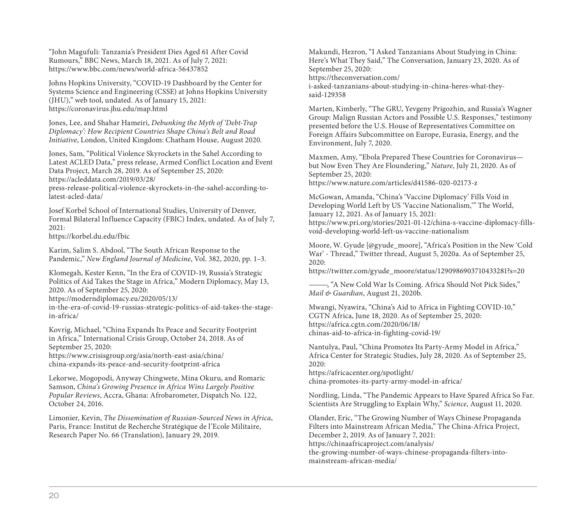"John Magufuli: Tanzania's President Dies Aged 61 After Covid Rumours," BBC News, March 18, 2021. As of July 7, 2021: https://www.bbc.com/news/world-africa-56437852

Johns Hopkins University, "COVID-19 Dashboard by the Center for Systems Science and Engineering (CSSE) at Johns Hopkins University [\(JHU\)," web tool, undated. As of January 15, 2021:](https://moderndiplomacy.eu/2020/05/13/in-the-era-of-covid-19-russias-strategic-politics-of-aid-takes-the-stage-in-africa/)  https://coronavirus.jhu.edu/map.html

Jones, Lee, and Shahar Hameiri, *Debunking the Myth of 'Debt-Trap Diplomacy': How Recipient Countries Shape China's Belt and Road Initiative*, London, United Kingdom: Chatham House, August 2020.

Jones, Sam, "Political Violence Skyrockets in the Sahel According to [Latest ACLED Data," press release, Armed Conflict Loca](https://www.crisisgroup.org/asia/north-east-asia/china/china-expands-its-peace-and-security-footprint-africa)tion and Event Data Project, March 28, 2019. As of September 25, 2020: https://acleddata.com/2019/03/28/

press-release-political-violence-skyrockets-in-the-sahel-according-tolatest-acled-data/

Josef Korbel School of International Studies, University of Denver, Formal Bilateral Influence Capacity (FBIC) Index, undated. As of July 7,  $2021$ 

https://korbel.du.edu/fbic

Karim, Salim S. Abdool, "The South African Response to the Pandemic," *New England Journal of Medicine*, Vol. 382, 2020, pp. 1–3.

Klomegah, Kester Kenn, "In the Era of COVID-19, Russia's Strategic Politics of Aid Takes the Stage in Africa," Modern Diplomacy, May 13, 2020. As of September 25, 2020:

https://moderndiplomacy.eu/2020/05/13/

in-the-era-of-covid-19-russias-strategic-politics-of-aid-takes-the-stagein-africa/

Kovrig, Michael, "China Expands Its Peace and Security Footprint in Africa," International Crisis Group, October 24, 2018. As of September 25, 2020:

https://www.crisisgroup.org/asia/north-east-asia/china/ china-expands-its-peace-and-security-footprint-africa

Lekorwe, Mogopodi, Anyway Chingwete, Mina Okuru, and Romaric Samson, *China's Growing Presence in Africa Wins Largely Positive Popular Reviews*, Accra, Ghana: Afrobarometer, Dispatch No. 122, October 24, 2016.

Limonier, Kevin, *The Dissemination of Russian-Sourced News in Africa*, Paris, France: Institut de Recherche Stratégique de l'Ecole Militaire, Research Paper No. 66 (Translation), January 29, 2019.

Makundi, Hezron, "I Asked Tanzanians About Studying in China: Here's What They Said," The Conversation, January 23, 2020. As of September 25, 2020:

[https://theconversation.com/](https://twitter.com/gyude_moore/status/1290986903710433281?s=20) 

i-asked-tanzanians-about-studying-in-china-heres-what-theysaid-129358

Marten, Kimberly, "The GRU, Yevgeny Prigozhin, and Russia's Wagner Group: Malign Russian Actors and Possible U.S. Responses," testimony presented before the U.S. House of Representatives Committee on [Foreign Affairs Subcommittee on Europe,](https://africa.cgtn.com/2020/06/18/chinas-aid-to-africa-in-fighting-covid-19/) Eurasia, Energy, and the Environment, July 7, 2020.

Maxmen, Amy, "Ebola Prepared These Countries for Coronavirus but Now Even They Are Floundering," *Nature*, July 21, 2020. As of September 25, 2020:

[https://www.nature.com/articles/d41586-020-021](https://africacenter.org/spotlight/china-promotes-its-party-army-model-in-africa/)73-z

McGowan, Amanda, "China's 'Vaccine Diplomacy' Fills Void in Developing World Left by US 'Vaccine Nationalism,'" The World, January 12, 2021. As of January 15, 2021: https://www.pri.org/stories/2021-01-12/china-s-vaccine-diplomacy-fillsvoid-developing-world-left-us-vaccine-nationalism

Moore, W. Gyude [@gyude\_moore], "Africa's Position in the New 'Cold [War' - Thread," Twitter thread, August 5, 2020a. As of Septembe](https://chinaafricaproject.com/analysis/the-growing-number-of-ways-chinese-propaganda-filters-into-mainstream-african-media/)r 25, 2020:

https://twitter.com/gyude\_moore/status/1290986903710433281?s=20

———, "A New Cold War Is Coming. Africa Should Not Pick Sides," *Mail & Guardian*, August 21, 2020b.

Mwangi, Nyawira, "China's Aid to Africa in Fighting COVID-10," CGTN Africa, June 18, 2020. As of September 25, 2020: https://africa.cgtn.com/2020/06/18/ chinas-aid-to-africa-in-fighting-covid-19/

Nantulya, Paul, "China Promotes Its Party-Army Model in Africa," Africa Center for Strategic Studies, July 28, 2020. As of September 25, 2020:

https://africacenter.org/spotlight/ china-promotes-its-party-army-model-in-africa/

Nordling, Linda, "The Pandemic Appears to Have Spared Africa So Far. Scientists Are Struggling to Explain Why," *Science*, August 11, 2020.

Olander, Eric, "The Growing Number of Ways Chinese Propaganda Filters into Mainstream African Media," The China-Africa Project, December 2, 2019. As of January 7, 2021: https://chinaafricaproject.com/analysis/ the-growing-number-of-ways-chinese-propaganda-filters-intomainstream-african-media/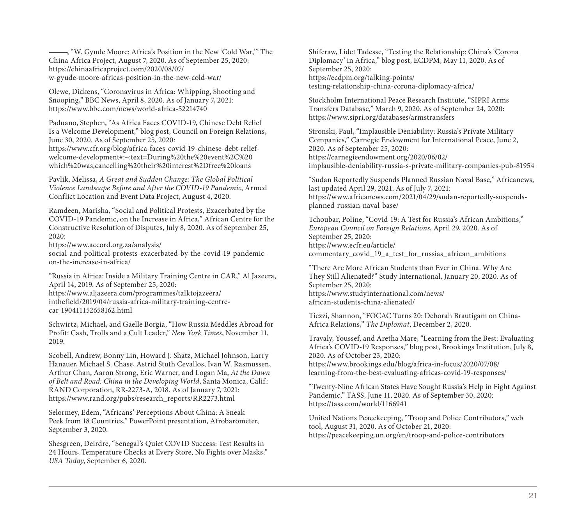-, "W. Gyude Moore: Africa's Position in the New 'Cold War,'" The China-Africa Project, August 7, 2020. As of September 25, 2020: https://chinaafricaproject.com/2020/08/07/ w-gyude-moore-africas-position-in-the-new-cold-war/

Olewe, Dickens, "Coronavirus in Africa: Whipping, Shooting and [Snooping," BBC News, April 8, 2020. As of January 7, 2021](https://www.aljazeera.com/programmes/talktojazeera/inthefield/2019/04/russia-africa-military-training-centre-car-190411152658162.html): https://www.bbc.com/news/world-africa-52214740

Paduano, Stephen, "As Africa Faces COVID-19, Chinese Debt Relief Is a Welcome Development," blog post, Council on Foreign Relations, June 30, 2020. As of September 25, 2020:

https://www.cfr.org/blog/africa-faces-covid-19-chinese-debt-reliefwelcome-development#:~:text=During%20the%20event%2C%20 which%20was,cancelling%20their%20interest%2Dfree%20loans

Pavlik, Melissa, *A Great and Sudden Change: The Global Political Violence Landscape Before and After the COVID-19 Pandemic*, Armed [Conflict Location and Event Data Project, August 4, 2020.](https://www.rand.org/pubs/research_reports/RR2273.html)

Ramdeen, Marisha, "Social and Political Protests, Exacerbated by the COVID-19 Pandemic, on the Increase in Africa," African Centre for the Constructive Resolution of Disputes, July 8, 2020. As of September 25, 2020:

https://www.accord.org.za/analysis/

social-and-political-protests-exacerbated-by-the-covid-19-pandemicon-the-increase-in-africa/

"Russia in Africa: Inside a Military Training Centre in CAR," Al Jazeera, April 14, 2019. As of September 25, 2020:

https://www.aljazeera.com/programmes/talktojazeera/ inthefield/2019/04/russia-africa-military-training-centrecar-190411152658162.html

Schwirtz, Michael, and Gaelle Borgia, "How Russia Meddles Abroad for Profit: Cash, Trolls and a Cult Leader," *New York Times*, November 11, 2019.

Scobell, Andrew, Bonny Lin, Howard J. Shatz, Michael Johnson, Larry Hanauer, Michael S. Chase, Astrid Stuth Cevallos, Ivan W. Rasmussen, Arthur Chan, Aaron Strong, Eric Warner, and Logan Ma, *At the Dawn of Belt and Road: China in the Developing World*, Santa Monica, Calif.: RAND Corporation, RR-2273-A, 2018. As of January 7, 2021: https://www.rand.org/pubs/research\_reports/RR2273.html

Selormey, Edem, "Africans' Perceptions About China: A Sneak Peek from 18 Countries," PowerPoint presentation, Afrobarometer, September 3, 2020.

Shesgreen, Deirdre, "Senegal's Quiet COVID Success: Test Results in 24 Hours, Temperature Checks at Every Store, No Fights over Masks," *USA Today*, September 6, 2020.

[Shiferaw, Lidet Tadesse, "Testing the Relationship: China's 'Cor](https://www.ecfr.eu/article/commentary_covid_19_a_test_for_russias_african_ambitions)ona Diplomacy' in Africa," blog post, ECDPM, May 11, 2020. As of September 25, 2020: https://ecdpm.org/talking-points/ testing-relationship-china-corona-diplomacy-africa/

[Stockholm International Peace Research Ins](https://www.studyinternational.com/news/african-students-china-alienated/)titute, "SIPRI Arms Transfers Database," March 9, 2020. As of September 24, 2020: https://www.sipri.org/databases/armstransfers

Stronski, Paul, "Implausible Deniability: Russia's Private Military Companies," Carnegie Endowment for International Peace, June 2, 2020. As of September 25, 2020: https://carnegieendowment.org/2020/06/02/ implausible-deniability-russia-s-private-military-companies-pub-81954

["Sudan Reportedly Suspends Planned Russian Naval Base," Afri](https://www.brookings.edu/blog/africa-in-focus/2020/07/08/learning-from-the-best-evaluating-africas-covid-19-responses/)canews, last updated April 29, 2021. As of July 7, 2021: https://www.africanews.com/2021/04/29/sudan-reportedly-suspends[planned-russian-naval-base/](https://tass.com/world/1166941)

Tchoubar, Poline, "Covid-19: A Test for Russia's African Ambitions," *European Council on Foreign Relations*, April 29, 2020. As of [September 25, 2020:](https://peacekeeping.un.org/en/troop-and-police-contributors)  https://www.ecfr.eu/article/ commentary\_covid\_19\_a\_test\_for\_russias\_african\_ambitions

"There Are More African Students than Ever in China. Why Are They Still Alienated?" Study International, January 20, 2020. As of September 25, 2020: https://www.studyinternational.com/news/ african-students-china-alienated/

Tiezzi, Shannon, "FOCAC Turns 20: Deborah Brautigam on China-Africa Relations," *The Diplomat*, December 2, 2020.

Travaly, Youssef, and Aretha Mare, "Learning from the Best: Evaluating Africa's COVID-19 Responses," blog post, Brookings Institution, July 8, 2020. As of October 23, 2020:

https://www.brookings.edu/blog/africa-in-focus/2020/07/08/ learning-from-the-best-evaluating-africas-covid-19-responses/

"Twenty-Nine African States Have Sought Russia's Help in Fight Against Pandemic," TASS, June 11, 2020. As of September 30, 2020: https://tass.com/world/1166941

United Nations Peacekeeping, "Troop and Police Contributors," web tool, August 31, 2020. As of October 21, 2020: https://peacekeeping.un.org/en/troop-and-police-contributors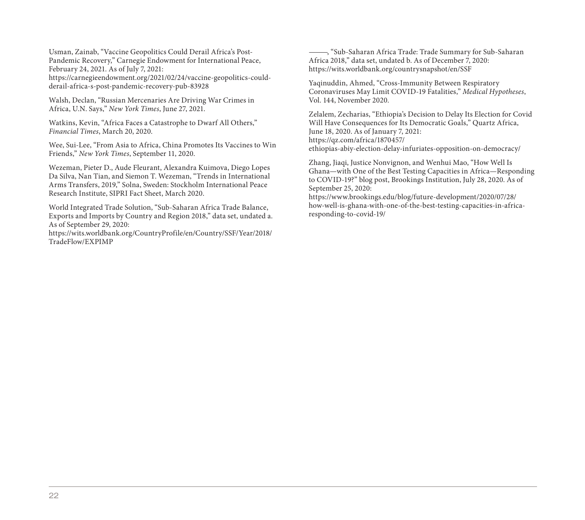[Usman, Zainab, "Vaccine Geopolitics Could Derail Africa's Post-](https://wits.worldbank.org/CountryProfile/en/Country/SSF/Year/2018/TradeFlow/EXPIMP)Pandemic Recovery," Carnegie Endowment for International Peace, February 24, 2021. As of July 7, 2021: https://carnegieendowment.org/2021/02/24/vaccine-geopolitics-couldderail-africa-s-post-pandemic-recovery-pub-83928

Walsh, Declan, "Russian Mercenaries Are Driving War Crimes in Africa, U.N. Says," *New York Times*, June 27, 2021.

Watkins, Kevin, "Africa Faces a Catastrophe to Dwarf All Others," *Financial Times*, March 20, 2020.

Wee, Sui-Lee, "From Asia to Africa, China Promotes Its Vaccines to Win Friends," *New York Times*, September 11, 2020.

Wezeman, Pieter D., Aude Fleurant, Alexandra Kuimova, Diego Lopes Da Silva, Nan Tian, and Siemon T. Wezeman, "Trends in International Arms Transfers, 2019," Solna, Sweden: Stockholm International Peace Research Institute, SIPRI Fact Sheet, March 2020.

World Integrated Trade Solution, "Sub-Saharan Africa Trade Balance, Exports and Imports by Country and Region 2018," data set, undated a. As of September 29, 2020:

https://wits.worldbank.org/CountryProfile/en/Country/SSF/Year/2018/ TradeFlow/EXPIMP

———, "Sub-Saharan Africa Trade: Trade Summary for Sub-Saharan Africa 2018," data set, undated b. As of December 7, 2020: https://wits.worldbank.org/countrysnapshot/en/SSF

Yaqinuddin, Ahmed, "Cross-Immunity Between Respiratory Coronaviruses May Limit COVID-19 Fatalities," *Medical Hypotheses*, Vol. 144, November 2020.

Zelalem, Zecharias, "Ethiopia's Decision to Delay Its Election for Covid Will Have Consequences for Its Democratic Goals," Quartz Africa, June 18, 2020. As of January 7, 2021: https://qz.com/africa/1870457/ ethiopias-abiy-election-delay-infuriates-opposition-on-democracy/

Zhang, Jiaqi, Justice Nonvignon, and Wenhui Mao, "How Well Is Ghana—with One of the Best Testing Capacities in Africa—Responding to COVID-19?" blog post, Brookings Institution, July 28, 2020. As of September 25, 2020:

https://www.brookings.edu/blog/future-development/2020/07/28/ how-well-is-ghana-with-one-of-the-best-testing-capacities-in-africaresponding-to-covid-19/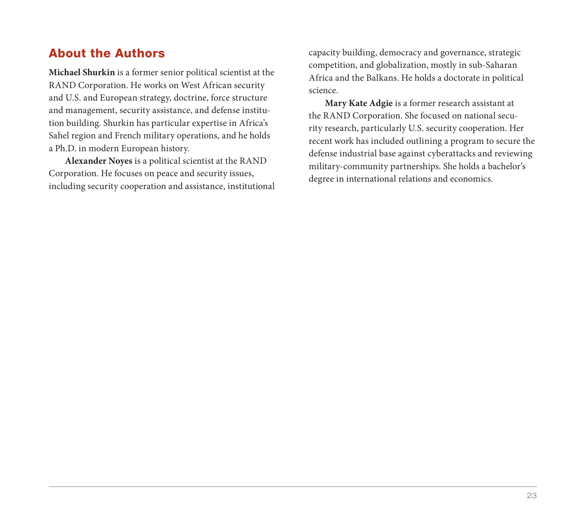## About the Authors

**Michael Shurkin** is a former senior political scientist at the RAND Corporation. He works on West African security and U.S. and European strategy, doctrine, force structure and management, security assistance, and defense institution building. Shurkin has particular expertise in Africa's Sahel region and French military operations, and he holds a Ph.D. in modern European history.

**Alexander Noyes** is a political scientist at the RAND Corporation. He focuses on peace and security issues, including security cooperation and assistance, institutional capacity building, democracy and governance, strategic competition, and globalization, mostly in sub-Saharan Africa and the Balkans. He holds a doctorate in political science.

**Mary Kate Adgie** is a former research assistant at the RAND Corporation. She focused on national security research, particularly U.S. security cooperation. Her recent work has included outlining a program to secure the defense industrial base against cyberattacks and reviewing military-community partnerships. She holds a bachelor's degree in international relations and economics.